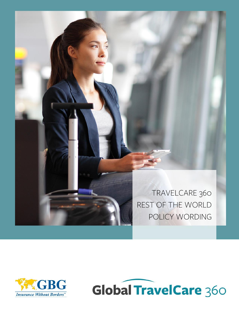

TRAVELCARE 360 REST OF THE WORLD POLICY WORDING



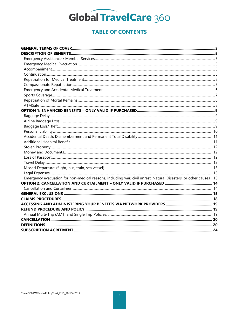

### **TABLE OF CONTENTS**

| Emergency evacuation for non-medical reasons, including war, civil unrest, Natural Disasters, or other causes 13 |  |
|------------------------------------------------------------------------------------------------------------------|--|
|                                                                                                                  |  |
|                                                                                                                  |  |
|                                                                                                                  |  |
|                                                                                                                  |  |
|                                                                                                                  |  |
|                                                                                                                  |  |
|                                                                                                                  |  |
|                                                                                                                  |  |
|                                                                                                                  |  |
|                                                                                                                  |  |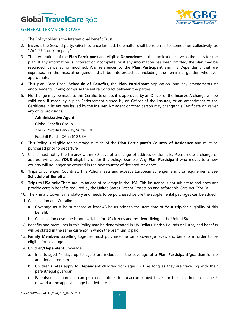

### **GENERAL TERMS OF COVER**

- 1. The Policyholder is the International Benefit Trust.
- 2. **Insurer**, the Second party, GBG Insurance Limited, hereinafter shall be referred to, sometimes collectively, as "We" "Us", or "Company".
- 3. The declarations of the **Plan Participant** and eligible **Dependents** in the application serve as the basis for the plan. If any information is incorrect or incomplete, or if any information has been omitted, the plan may be rescinded, cancelled or modified. Any references to the **Plan Participant** and his Dependents that are expressed in the masculine gender shall be interpreted as including the feminine gender whenever appropriate.
- 4. This plan, Face Page, **Schedule of Benefits**, the **Plan Participant** application, and any amendments or endorsements (if any) comprise the entire Contract between the parties.
- 5. No change may be made to this Certificate unless it is approved by an Officer of the **Insurer**. A change will be valid only if made by a plan Endorsement signed by an Officer of the **Insurer**, or an amendment of the Certificate in its entirety issued by the **Insurer**. No agent or other person may change this Certificate or waiver any of its provisions.

#### **Administrative Agent**

Global Benefits Group

27422 Portola Parkway, Suite 110

Foothill Ranch, CA 92610 USA

- 6. This Policy is eligible for coverage outside of the **Plan Participant's Country of Residence** and must be purchased prior to departure.
- 7. Client must notify the **Insurer** within 30 days of a change of address or domicile. Please note a change of address will affect **YOUR** eligibility under this policy. Example: Any **Plan Participant** who moves to a new country will no longer be covered in the new country of declared residence.
- 8. **Trips** to Schengen Countries: This Policy meets and exceeds European Schengen and visa requirements. See **Schedule of Benefits**.
- 9. **Trips** to USA only: There are limitations of coverage in the USA. This insurance is not subject to and does not provide certain benefits required by the United States Patient Protection and Affordable Care Act (PPACA).
- 10. The Primary Cover is mandatory and needs to be purchased before the supplemental packages can be added.
- 11. Cancellation and Curtailment:
	- a. Coverage must be purchased at least 48 hours prior to the start date of **Your trip** for eligibility of this benefit.
	- b. Cancellation coverage is not available for US citizens and residents living in the United States.
- 12. Benefits and premiums in this Policy may be denominated in US Dollars, British Pounds or Euros, and benefits will be stated in the same currency in which the premium is paid.
- 13. **Family Members** travelling together must purchase the same coverage levels and benefits in order to be eligible for coverage.
- 14. Children/**Dependent** Coverage:
	- a. Infants aged 14 days up to age 2 are included in the coverage of a **Plan Participant**/guardian for no additional premium.
	- b. Children's rates apply to **Dependent** children from ages 2-16 as long as they are travelling with their parent/legal guardian.
	- c. Parents/legal guardians can purchase policies for unaccompanied travel for their children from age 5 onward at the applicable age banded rate.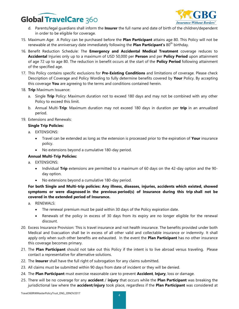

- d. Parents/legal guardians shall inform the **Insurer** the full name and date of birth of the children/dependent in order to be eligible for coverage.
- 15. Maximum Age: A Policy can be purchased before the **Plan Participant** attains age 80. This Policy will not be renewable at the anniversary date immediately following the **Plan Participant's** 80<sup>th</sup> birthday.
- 16. Benefit Reduction Schedule: The **Emergency and Accidental Medical Treatment** coverage reduces to **Accidental** Injuries only up to a maximum of USD 50,000 per **Person** and per **Policy Period** upon attainment of age 72 up to age 80. The reduction in benefit occurs at the start of the **Policy Period** following attainment of the specified age.
- 17. This Policy contains specific exclusions for **Pre-Existing Conditions** and limitations of coverage. Please check Description of Coverage and Policy Wording to fully determine benefits covered by **Your** Policy. By accepting this coverage **You** are agreeing to the terms and conditions contained herein.
- 18. **Trip** Maximum Issuance:
	- a. Single **Trip** Policy: Maximum duration not to exceed 180 days and may not be combined with any other Policy to exceed this limit.
	- b. Annual Multi-**Trip**: Maximum duration may not exceed 180 days in duration per **trip** in an annualized period.
- 19. Extensions and Renewals:

### **Single Trip Policies:**

- a. EXTENSIONS:
	- Travel can be extended as long as the extension is processed prior to the expiration of **Your** insurance policy.
	- No extensions beyond a cumulative 180-day period.

### **Annual Multi-Trip Policies:**

- a. EXTENSIONS:
	- Individual **Trip** extensions are permitted to a maximum of 60 days on the 42-day option and the 90 day option.
	- No extensions beyond a cumulative 180-day period.

### **For both Single and Multi-trip policies: Any illness, diseases, injuries, accidents which existed, showed symptoms or were diagnosed in the previous period(s) of Insurance during this trip shall not be covered in the extended period of Insurance.**

- a. RENEWALS:
	- The renewal premium must be paid within 30 days of the Policy expiration date.
	- Renewals of the policy in excess of 30 days from its expiry are no longer eligible for the renewal discount.
- 20. Excess Insurance Provision: This is travel insurance and not health insurance. The benefits provided under both Medical and Evacuation shall be in excess of all other valid and collectable insurance or indemnity. It shall apply only when such other benefits are exhausted. In the event the **Plan Participant** has no other insurance this coverage becomes primary.
- 21. The **Plan Participant** should not take out this Policy if the intent is to live abroad versus traveling. Please contact a representative for alternative solutions.
- 22. The **Insurer** shall have the full right of subrogation for any claims submitted.
- 23. All claims must be submitted within 90 days from date of incident or they will be denied.
- 24. The **Plan Participant** must exercise reasonable care to prevent **Accident**, **Injury**, loss or damage.
- 25. There will be no coverage for any **accident** / **injury** that occurs while the **Plan Participant** was breaking the jurisdictional law where the **accident**/**injury** took place, regardless if the **Plan Participant** was considered at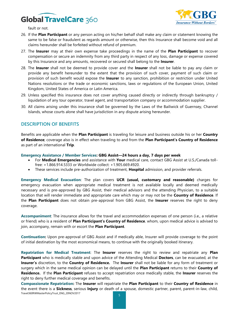

fault or not.

- 26. If the **Plan Participant** or any person acting on his/her behalf shall make any claim or statement knowing the same to be false or fraudulent as regards amount or otherwise, then this Insurance shall become void and all claims hereunder shall be forfeited without refund of premium.
- 27. The **Insurer** may at their own expense take proceedings in the name of the **Plan Participant** to recover compensation or secure an indemnity from any third party in respect of any loss, damage or expense covered by this Insurance and any amounts, recovered or secured shall belong to the **Insurer**.
- 28. The **Insurer** shall not be deemed to provide cover and the **Insurer** shall not be liable to pay any claim or provide any benefit hereunder to the extent that the provision of such cover, payment of such claim or provision of such benefit would expose the **Insurer** to any sanction, prohibition or restriction under United Nations resolutions or the trade or economic sanctions, laws or regulations of the European Union, United Kingdom, United States of America or Latin America.
- 29. Unless specified this insurance does not cover anything caused directly or indirectly through bankruptcy / liquidation of any tour operator, travel agent, and transportation company or accommodation supplier.
- 30. All claims arising under this insurance shall be governed by the Laws of the Bailiwick of Guernsey, Channel Islands, whose courts alone shall have jurisdiction in any dispute arising hereunder.

### **DESCRIPTION OF BENEFITS**

Benefits are applicable when the **Plan Participant** is traveling for leisure and business outside his or her **Country of Residence**; coverage also is in effect when traveling to and from the **Plan Participant's Country of Residence** as part of an international **Trip**.

**Emergency Assistance / Member Services: GBG Assist—24 hours a day, 7 days per week**

- For **Medical Emergencies** and assistance with **Your** medical care, contact GBG Assist at U.S./Canada tollfree: +1.866.914.5333 or Worldwide collect: +1.905.669.4920.
- These services include pre-authorization of treatment, **Hospital** admission, and provider referrals.

**Emergency Medical Evacuation**: The plan covers **UCR (usual, customary and reasonable)** charges for emergency evacuation when appropriate medical treatment is not available locally and deemed medically necessary and is pre-approved by GBG Assist, their medical advisors and the attending Physician, to a suitable location that will render immediate and appropriate care which may or may not be the **Country of Residence**. If the **Plan Participant** does not obtain pre-approval from GBG Assist, the **Insurer** reserves the right to deny coverage.

**Accompaniment**: The insurance allows for the travel and accommodation expenses of one person (i.e., a relative or friend) who is a resident of **Plan Participant's Country of Residence**, whom, upon medical advice is advised to join, accompany, remain with or escort the **Plan Participant**.

**Continuation:** Upon pre-approval of GBG Assist and if medically able, Insurer will provide coverage to the point of initial destination by the most economical means, to continue with the originally booked itinerary.

**Repatriation for Medical Treatment**: The **Insurer** reserves the right to review and repatriate any **Plan Participant** who is medically stable and upon advice of the Attending Medical **Doctors**, can be evacuated, at the **Insurer's** discretion, to the **Country of Residence.** The **Insurer** shall not be liable for any form of treatment or surgery which in the same medical opinion can be delayed until the **Plan Participant** returns to their **Country of Residence.** If the **Plan Participant** refuses to accept repatriation once medically stable, the **Insurer** reserves the right to deny further medical coverage and benefits.

Travel360RWMasterPolicyTrust\_ENG\_20NOV2017 **Compassionate Repatriation:** The **Insurer** will repatriate the **Plan Participant** to their **Country of Residence** in the event there is a **Sickness**, serious **Injury** or death of a spouse, domestic partner, parent, parent-in-law, child,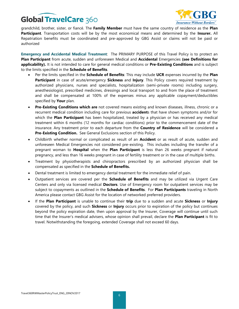

grandchild, brother, sister, or fiancé. The **Family Member** must have the same country of residence as the **Plan Participant**. Transportation costs will be by the most economical means and determined by the **Insurer.** All Repatriation benefits must be coordinated and pre-approved by GBG Assist or claims will not be paid or authorized

**Emergency and Accidental Medical Treatment**: The PRIMARY PURPOSE of this Travel Policy is to protect an **Plan Participant** from acute, sudden and unforeseen Medical and **Accidental** Emergencies **(see Definitions for applicability).** It is not intended to care for general medical conditions or **Pre-Existing Conditions** and is subject to the limits specified in the **Schedule of Benefits**.

- Per the limits specified in the **Schedule of Benefits**: This may include **UCR** expenses incurred by the **Plan Participant** in case of acute/emergency **Sickness** and **Injury**. This Policy covers required treatment by authorized physicians, nurses and specialists, hospitalization (semi-private rooms) including surgery, anesthesiologist, prescribed medicines, dressings and local transport to and from the place of treatment and shall be compensated at 100% of the expenses minus any applicable copayment/deductibles specified by **Your** plan.
- **Pre-Existing Conditions which are** not covered means existing and known diseases, illness, chronic or a recurrent medical condition including care for previous **accident**s that have shown symptoms and/or for which the **Plan Participant** has been hospitalized, treated by a physician or has received any medical treatment within 6 months (12 months for cardiac conditions) prior to the commencement date of the insurance. Any treatment prior to each departure from the **Country of Residence** will be considered a **Pre-Existing Condition.** See General Exclusions section of this Policy.
- Childbirth whether normal or complicated as result of an **Accident** or as result of acute, sudden and unforeseen Medical Emergencies not considered pre-existing. This includes including the transfer of a pregnant woman to **Hospital** when the **Plan Participant** is less than 26 weeks pregnant if natural pregnancy, and less than 16 weeks pregnant in case of fertility treatment or in the case of multiple births.
- Treatment by physiotherapists and chiropractors prescribed by an authorized physician shall be compensated as specified in the **Schedule of Benefits.**
- Dental treatment is limited to emergency dental treatment for the immediate relief of pain.
- Outpatient services are covered per the **Schedule of Benefits** and may be utilized via Urgent Care Centers and only via licensed medical **Doctors**. Use of Emergency room for outpatient services may be subject to copayments as outlined in the **Schedule of Benefits**. For **Plan Participants** traveling in North America please contact GBG Assist for the location of networked preferred providers.
- If the **Plan Participant** is unable to continue their **trip** due to a sudden and acute **Sickness** or **Injury** covered by the policy, and such **Sickness** or **Injury** occurs prior to expiration of the policy but continues beyond the policy expiration date, then upon approval by the Insurer, Coverage will continue until such time that the Insurer's medical advisers, whose opinion shall prevail, declare the **Plan Participant** is fit to travel. Notwithstanding the foregoing, extended Coverage shall not exceed 60 days.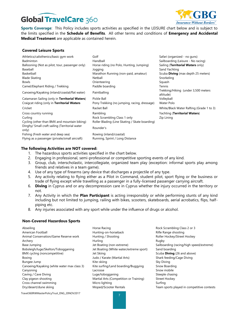

**Sports Coverage**: This Policy includes sports activities as specified in the LEISURE chart below and is subject to the limits specified in the **Schedule of Benefits**. All other terms and conditions of **Emergency and Accidental Medical Treatment** are applicable as contained herein.

#### **Covered Leisure Sports**

| Athletics/calisthenics/basic gym work                   | Golf                                           | Safari (organized - no guns)                     |
|---------------------------------------------------------|------------------------------------------------|--------------------------------------------------|
| <b>Badminton</b>                                        | Handball                                       | Sailboarding (Leisure - No racing)               |
| Ballooning (Not as pilot, tour, passenger only)         | Horse riding (no Polo, Hunting, Jumping)       | Sailing (Territorial Waters only)                |
| Baseball                                                | Jogging                                        | Sand Yachting                                    |
| Basketball                                              | Marathon Running (non-paid, amateur)           | Scuba <b>Diving</b> (max depth 25 meters)        |
| <b>Blade Skating</b>                                    | Netball                                        | Snorkeling                                       |
| Bowls                                                   | Orienteering                                   | Squash                                           |
| Camel/Elephant Riding / Trekking                        | Paddle boarding                                | Tennis                                           |
| Canoeing/Kayaking (inland/coastal/flat water)           | Paintballing                                   | Trekking/Hiking (under 3,500 meters<br>altitude) |
| Catamaran Sailing (only in Territorial Waters)          | Pickle Ball                                    | Volleyball                                       |
| Craigcat riding (only in Territorial Waters             | Pony Trekking (no jumping, racing, dressage)   | Water Polo                                       |
| Cricket                                                 | Racket Ball                                    | White/Black Water Rafting (Grade 1 to 3)         |
| Cross country running                                   | Rambling                                       | Yachting (Territorial Waters)                    |
| Curling                                                 | Rock Scrambling Class 1 only                   | Zip Lining                                       |
| Cycling (other than BMX and mountain biking)            | Roller Blading (Line Skating / Skate boarding) |                                                  |
| Dinghy/ Small craft sailing (Territorial water<br>only) | Rounder's                                      |                                                  |
| Fishing (Fresh water and deep sea)                      | Rowing (inland/coastal)                        |                                                  |
| Flying as a passenger (private/small aircraft)          | Running, Sprint / Long Distance                |                                                  |

#### **The following Activities are NOT covered:**

- 1. The hazardous sports activities specified in the chart below.
- 2. Engaging in professional, semi-professional or competitive sporting events of any kind.
- 3. Group, club, interscholastic, intercollegiate, organized team play (exception: informal sports play among friends and relatives in a team game).
- 4. Use of any type of firearms (any device that discharges a projectile of any type.
- 5. Any activity relating to flying either as a Pilot in Command, student pilot, sport flying or the business or trade of flying except while travelling as a passenger in a fully-licensed passenger carrying aircraft.
- 6. **Diving** in Cyprus and or any decompression care in Cyprus whether the injury occurred in the territory or not.
- 7. Any Activity in which the **Plan Participant** is acting irresponsibly or while performing stunts of any kind including but not limited to jumping, railing with bikes, scooters, skateboards, aerial acrobatics, flips, halfpiping etc.
- 8. Any injuries associated with any sport while under the influence of drugs or alcohol.

#### **Non-Covered Hazardous Sports**

Abseiling **Abseiling Horse Racing Horse Racing Rock Scrambling Class 2 or 3** and 2 or 3 American Football **American Football** Hunting-on-horseback **Rifle Range shooting** Animal Conservation/Game Reserve work Hunting / Shooting Roller Hockey/Street Hockey Archery Rugby Robert (1999) - Hurling Rugby Rugby Rugby Rugby Base Jumping The Matter of the Boating (non-extreme) Sailboarding (racing/high speed/extreme) Bobsleigh/luge/Skelton/Tobogganing Jet Boating (White water/extreme sport) Sand boarding BMX cycling (noncompetitive) **Jet Skiing Scuba Diving** (26 and above) Boxing The Shark feeding/Cage Diving Judo / Karate (Martial Arts) Shark feeding/Cage Diving Bungee Jump **Sky Diving Sky Diving Sky Diving Sky Diving Sky Diving Sky Diving Sky Diving Sky Diving Sky Diving** Canoeing/Kayaking (white water max class 3) Kite surfing/Land boarding/Buggying Snow Boarding Canyoning **Canyoning** Canyoning Canyoning Canyoning Canyoning Canyoning Canyoning Canyoning Canyoning Canyoning Canyoning Canyoning Canyoning Canyoning Canyoning Canyoning Canyoning Canyoning Canyoning Canyoning Canyoning Caving / Cave Diving the Caving Luge/tobogganing the Steeple chasing Steeple chasing Clay pigeon shooting and Martial Arts (Competition or Training) Street Hockey Cross channel swimming and a surfing Micro lighting surfing Surfing Surfing Surfing

- 
- Dry/desert/dune skiing example and Moped/Scooter Rentals Team sports played in competitive contests

Travel360RWMasterPolicyTrust\_ENG\_20NOV2017 <sup>7</sup>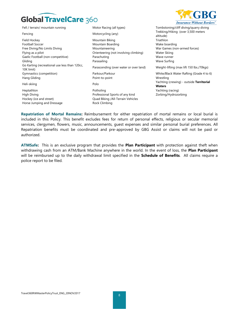Fell / terrain/ mountain running The Motor Racing (all types) Tombstoning/cliff diving/quarry diving Fencing Motorcycling (any) Trekking/Hiking (over 3,500 meters Field Hockey **Mountain Biking** Triathlon Football Soccer **Mountain Boarding** Mountain Boarding Mountain Boarding Wake boarding Free Diving/No Limits Diving Nountaineering Mountaineering War Games (non-armed forces) Flying as a pilot Orienteering (not involving climbing) Water Skiing Gaelic Football (non-competitive) Parachuting Wave runner Gliding Parasailing Wave Surfing Go Karting (recreational use less than 120cc, 10K limit) Parascending (over water or over land) Weight-lifting (max lift 150 lbs./70kgs) Gymnastics (competition) **Parkour/Parkour** Parkour White/Black Water Rafting (Grade 4 to 6) Hang Gliding **Point-to-point** Point-to-point **Point-to-point** Point **Wrestling** Heli-skiing Polo Yachting (crewing) - outside **Territorial**  Heptathlon **Potholing Yachting Yachting (racing)** Potholing Yachting (racing) High Diving Professional Sports of any kind Zorbing/Hydrozorbing Hockey (ice and street) Quad Biking /All-Terrain Vehicles Horse Jumping and Dressage Rock Climbing





altitude)

**Waters**

**Repatriation of Mortal Remains:** Reimbursement for either repatriation of mortal remains or local burial is included in this Policy. This benefit excludes fees for return of personal effects, religious or secular memorial services, clergymen, flowers, music, announcements, guest expenses and similar personal burial preferences. All Repatriation benefits must be coordinated and pre-approved by GBG Assist or claims will not be paid or authorized.

**ATMSafe:** This is an exclusive program that provides the **Plan Participant** with protection against theft when withdrawing cash from an ATM/Bank Machine anywhere in the world. In the event of loss, the **Plan Participant** will be reimbursed up to the daily withdrawal limit specified in the **Schedule of Benefits**. All claims require a police report to be filed.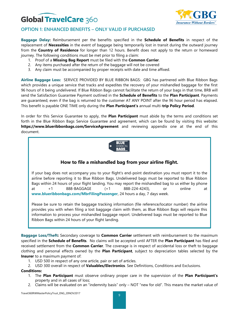

### **OPTION 1: ENHANCED BENEFITS – ONLY VALID IF PURCHASED**

**Baggage Delay:** Reimbursement per the benefits specified in the **Schedule of Benefits** in respect of the replacement of **Necessities** in the event of baggage being temporarily lost in transit during the outward journey from the **Country of Residence** for longer than 12 hours. Benefit does not apply to the return or homeward journey. The following conditions must be met prior to filing a claim:

- 1. Proof of a **Missing Bag Report** must be filed with the **Common Carrier**.
- 2. Any items purchased after the return of the baggage will not be covered
- 3. Any claim must be accompanied by proper receipts with date and time affixed.

**Airline Baggage Loss:** SERVICE PROVIDED BY BLUE RIBBON BAGS: GBG has partnered with Blue Ribbon Bags which provides a unique service that tracks and expedites the recovery of your mishandled baggage for the first 96 hours of it being undelivered. If Blue Ribbon Bags cannot facilitate the return of your bags in that time, BRB will send the Satisfaction Guarantee Payment outlined in the **Schedule of Benefits** to the **Plan Participant**. Payments are guaranteed, even if the bag is returned to the customer AT ANY POINT after the 96 hour period has elapsed. This benefit is payable ONE TIME only during the **Plan Participant's** annual multi-**trip Policy Period**.

In order for this Service Guarantee to apply, the **Plan Participant** must abide by the terms and conditions set forth in the Blue Ribbon Bags Service Guarantee and agreement, which can be found by visiting this website: **https://www.blueribbonbags.com/ServiceAgreement** and reviewing appendix one at the end of this document.



### **How to file a mishandled bag from your airline flight.**

If your bag does not accompany you to your flight's end-point destination you must report it to the airline before reporting it to Blue Ribbon Bags. Undelivered bags must be reported to Blue Ribbon Bags within 24 hours of your flight landing. You may report the mishandled bag to us either by phone at +1 888-BAGGAGE (+1 888-224-4243), or online at **www.blueribbonbags.com/MbrFilingPassenger**, 24 hours a day, 7 days week.

Please be sure to retain the baggage tracking information (file reference/locator number) the airline provides you with when filing a lost baggage claim with them, as Blue Ribbon Bags will require this information to process your mishandled baggage report. Undelivered bags must be reported to Blue Ribbon Bags within 24 hours of your flight landing.

**Baggage Loss/Theft:** Secondary coverage to **Common Carrier** settlement with reimbursement to the maximum specified in the **Schedule of Benefits**. No claims will be accepted until AFTER the **Plan Participant** has filed and received settlement from the **Common Carrier**. The coverage is in respect of accidental loss or theft to baggage clothing and personal effects owned by the **Plan Participant**, subject to depreciation tables selected by the **Insurer** to a maximum payment of:

If you have any questions please do not hesitate to contact Blue Ribbon Bags by sending an email to

- 1. USD 500 in respect of any one article, pair or set of articles.
- 2. USD 300 overall in respect of **Valuables/Electronics**. See Definitions, Conditions and Exclusions.

#### **Conditions:**

- 1. The **Plan Participant** must observe ordinary proper care in the supervision of the **Plan Participant's** property and in all cases of loss;
- 2. Claims will be evaluated on an "indemnity basis" only NOT "new for old". This means the market value of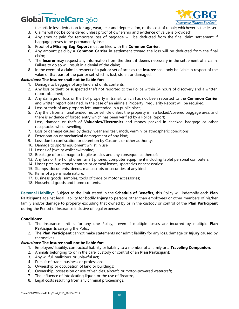

the article less deduction for age, wear, tear and depreciation, or the cost of repair; whichever is the lesser.

- 3. Claims will not be considered unless proof of ownership and evidence of value is provided;
- 4. Any amount paid for temporary loss of baggage will be deducted from the final claim settlement if baggage proves to be permanently lost;
- 5. Proof of a **Missing Bag Report** must be filed with the **Common Carrier**;
- 6. Any amount paid by a **Common Carrier** in settlement toward the loss will be deducted from the final claim;
- 7. The **Insurer** may request any information from the client it deems necessary in the settlement of a claim. Failure to do so will result in a denial of the claim;
- 8. In the event of a claim in respect of a pair or set of articles the **Insurer** shall only be liable in respect of the value of that part of the pair or set which is lost, stolen or damaged.

### *Exclusions:* **The Insurer shall not be liable for:**

- 1. Damage to baggage of any kind and or its contents;
- 2. Any loss or theft, or suspected theft not reported to the Police within 24 hours of discovery and a written report obtained;
- 3. Any damage or loss or theft of property in transit, which has not been reported to the **Common Carrier** and written report obtained. In the case of an airline a Property Irregularity Report will be required;
- 4. Loss or theft of any property left unattended in a public place;
- 5. Any theft from an unattended motor vehicle unless the property is in a locked/covered baggage area, and there is evidence of forced entry which has been verified by a Police Report;
- 6. Loss, damage or theft of **Valuables/Electronics** and money packed in checked baggage or other receptacles while travelling.
- 7. Loss or damage caused by decay, wear and tear, moth, vermin, or atmospheric conditions;
- 8. Deterioration or mechanical derangement of any kind;
- 9. Loss due to confiscation or detention by Customs or other authority;
- 10. Damage to sports equipment whilst in use;
- 11. Losses of jewelry whilst swimming;
- 12. Breakage of or damage to fragile articles and any consequence thereof;
- 13. Any loss or theft of phones, smart phones, computer equipment including tablet personal computers;
- 14. Unset precious stones, contact or corneal lenses, spectacles or accessories;
- 15. Stamps, documents, deeds, manuscripts or securities of any kind;
- 16. Items of a perishable nature;
- 17. Business goods, samples, tools of trade or motor accessories;
- 18. Household goods and home contents.

**Personal Liability:** Subject to the limit stated in the **Schedule of Benefits,** this Policy will indemnify each **Plan Participant** against legal liability for bodily **Injury** to persons other than employees or other members of his/her family and/or damage to property excluding that owned by or in the custody or control of the **Plan Participant** during the Period of Insurance inclusive of legal expenses.

#### **Conditions:**

- 1. The insurance limit is for any one Policy, even if multiple losses are incurred by multiple **Plan Participants** carrying the Policy;
- 2. The **Plan Participant** cannot make statements nor admit liability for any loss, damage or **Injury** caused by themselves.

#### *Exclusions:* **The Insurer shall not be liable for:**

- 1. Employers' liability, contractual liability or liability to a member of a family or a **Traveling Companion**;
- 2. Animals belonging to or in the care, custody or control of an **Plan Participant**;
- 3. Any willful, malicious, or unlawful act;
- 4. Pursuit of trade, business or profession;
- 5. Ownership or occupation of land or buildings;
- 6. Ownership, possession or use of vehicles, aircraft, or motor-powered watercraft;
- 7. The influence of intoxicating liquor, or the use of firearms;
- 8. Legal costs resulting from any criminal proceedings.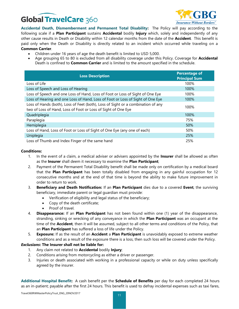

**Accidental Death, Dismemberment and Permanent Total Disability:** The Policy will pay according to the following scale if a **Plan Participant** sustains **Accidental** bodily **Injury** which, solely and independently of any other cause results in Death or Disability within 12 calendar months from the date of the **Accident**. This benefit is paid only when the Death or Disability is directly related to an incident which occurred while traveling on a **Common Carrier**.

- Children under 16 years of age the death benefit is limited to USD 5,000.
- Age grouping 65 to 80 is excluded from all disability coverage under this Policy. Coverage for **Accidental** Death is confined to **Common Carrier** and is limited to the amount specified in the schedule.

| <b>Loss Description</b>                                                                                                                           | <b>Percentage of</b><br><b>Principal Sum</b> |
|---------------------------------------------------------------------------------------------------------------------------------------------------|----------------------------------------------|
| Loss of Life                                                                                                                                      | 100%                                         |
| Loss of Speech and Loss of Hearing                                                                                                                | 100%                                         |
| Loss of Speech and one Loss of Hand, Loss of Foot or Loss of Sight of One Eye                                                                     | 100%                                         |
| Loss of Hearing and one Loss of Hand, Loss of Foot or Loss of Sight of One Eye                                                                    | 100%                                         |
| Loss of Hands (both), Loss of Feet (both), Loss of Sight or a combination of any<br>two of Loss of Hand, Loss of Foot or Loss of Sight of One Eye | 100%                                         |
| Quadriplegia                                                                                                                                      | 100%                                         |
| Paraplegia                                                                                                                                        | 75%                                          |
| Hemiplegia                                                                                                                                        | 50%                                          |
| Loss of Hand, Loss of Foot or Loss of Sight of One Eye (any one of each)                                                                          | 50%                                          |
| Uniplegia                                                                                                                                         | 25%                                          |
| Loss of Thumb and Index Finger of the same hand                                                                                                   | 25%                                          |

### **Conditions:**

- 1. In the event of a claim, a medical adviser or advisers appointed by the **Insurer** shall be allowed as often as the **Insurer** shall deem it necessary to examine the **Plan Participant**;
- 2. Payment of the Permanent Total Disability benefit shall be made only on certification by a medical board that the **Plan Participant** has been totally disabled from engaging in any gainful occupation for 12 consecutive months and at the end of that time is beyond the ability to make future improvement in order to return to work.
- 3. **Beneficiary and Death Notification:** If an **Plan Participant** dies due to a covered **Event**, the surviving beneficiary, immediate parent or legal guardian must provide:
	- Verification of eligibility and legal status of the beneficiary;
	- Copy of the death certificate;
	- Proof of travel.
- 4. **Disappearance:** If an **Plan Participant** has not been found within one (1) year of the disappearance, stranding, sinking or wrecking of any conveyance in which the **Plan Participant** was an occupant at the time of the **Accident**, then it will be assumed, subject to all other terms and conditions of the Policy, that an **Plan Participant** has suffered a loss of life under the Policy.
- 5. **Exposure:** If as the result of an **Accident** a **Plan Participant** is unavoidably exposed to extreme weather conditions and as a result of the exposure there is a loss, then such loss will be covered under the Policy.

#### *Exclusions***: The Insurer shall not be liable for:**

- 1. Any claim not related to **Accidental** bodily **Injury**;
- 2. Conditions arising from motorcycling as either a driver or passenger.
- 3. Injuries or death associated with working in a professional capacity or while on duty unless specifically agreed by the insurer.

**Additional Hospital Benefit:** A cash benefit per the **Schedule of Benefits** per day for each completed 24 hours as an in-patient; payable after the first 24 hours. This benefit is used to defray incidental expenses such as taxi fares,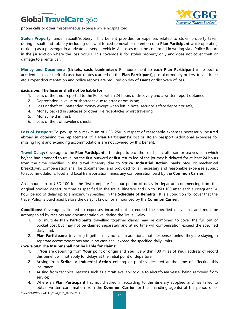



phone calls or other miscellaneous expense while hospitalized.

**Stolen Property** (under assault/robbery): This benefit provides for expenses related to stolen property taken during assault and robbery including unlawful forced removal or detention of a **Plan Participant** while operating or riding as a passenger in a private passenger vehicle. All losses must be confirmed in writing via a Police Report in the jurisdiction where the loss occurs. This coverage is for stolen property only and does not cover theft or damage to a rental car.

**Money and Documents (tickets, cash, banknotes):** Reimbursement to each **Plan Participant** in respect of accidental loss or theft of cash, banknotes (carried on the **Plan Participant**), postal or money orders, travel tickets, etc. Proper documentation and police reports are required on day of **Event** or discovery of loss.

#### *Exclusions:* **The Insurer shall not be liable for:**

- 1. Loss or theft not reported to the Police within 24 hours of discovery and a written report obtained;
- 2. Depreciation in value or shortages due to error or omission;
- 3. Loss or theft of unattended money except when left in hotel security, safety deposit or safe;
- 4. Money packed in suitcases or other like receptacles whilst travelling;
- 5. Money held in trust;
- 6. Loss or theft of traveler's checks.

**Loss of Passport:** To pay up to a maximum of USD 250 in respect of reasonable expenses necessarily incurred abroad in obtaining the replacement of a **Plan Participant's** lost or stolen passport. Additional expenses for missing flight and extending accommodations are not covered by this benefit.

**Travel Delay:** Coverage to the **Plan Participant** if the departure of the coach, aircraft, train or sea vessel in which he/she had arranged to travel on the first outward or first return leg of the journey is delayed for at least 24 hours from the time specified in the travel itinerary due to **Strike**, **Industrial Action**, bankruptcy, or mechanical breakdown. Compensation shall be documented and provided for all necessary and reasonable expenses subject to accommodations, food and local transportation minus any compensation paid by the **Common Carrier**.

An amount up to USD 100 for the first complete 24 hour period of delay in departure commencing from the original booked departure time as specified in the travel itinerary and up to USD 100 after each subsequent 24 hour period of delay up to a maximum specified in the **Schedule of Benefits**. It is a condition for cover that the travel Policy is purchased before the delay is known or announced by the **Common Carrier**.

**Conditions***:* Coverage is limited to expenses incurred not to exceed the specified daily limit and must be accompanied by receipts and documentation validating the Travel Delay.

- 1. For multiple **Plan Participants** travelling together claims may be combined to cover the full out of pocket cost but may not be claimed separately and at no time will compensation exceed the specified daily limit;
- 2. **Plan Participants** travelling together may not claim additional hotel expenses unless they are staying in separate accommodations and in no case shall exceed the specified daily limits.

#### *Exclusions:* **The Insurer shall not be liable for claims:**

- 1. If **You** are departing from **Your** point of origin and **You** live within 100 miles of **Your** address of record this benefit will not apply for delays at the initial point of departure;
- 2. Arising from **Strike** or **Industrial Action** existing or publicly declared at the time of affecting this Insurance.
- 3. Arising from technical reasons such as aircraft availability due to aircraft/sea vessel being removed from service;
- 4. Where an **Plan Participant** has not checked in according to the itinerary supplied and has failed to obtain written confirmation from the **Common Carrier** (or their handling agents) of the period of or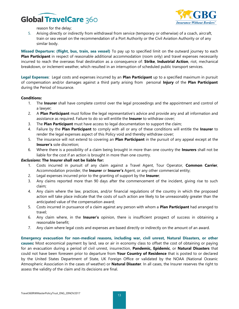

reason for the delay;

5. Arising directly or indirectly from withdrawal from service (temporary or otherwise) of a coach, aircraft, train or sea vessel on the recommendation of a Port Authority or the Civil Aviation Authority or of any similar body.

**Missed Departure: (flight, bus, train, sea vessel)** To pay up to specified limit on the outward journey to each **Plan Participant** in respect of reasonable additional accommodation (room only) and travel expenses necessarily incurred to reach the overseas final destination as a consequence of: **Strike**, **Industrial Action**, riot, mechanical breakdown, or inclement weather, which resulted in an interruption of scheduled public transport services.

**Legal Expenses**: Legal costs and expenses incurred by an **Plan Participant** up to a specified maximum in pursuit of compensation and/or damages against a third party arising from personal **Injury** of the **Plan Participant** during the Period of Insurance.

#### **Conditions:**

- 1. The **Insurer** shall have complete control over the legal proceedings and the appointment and control of a lawyer;
- 2. A **Plan Participant** must follow the legal representative's advice and provide any and all information and assistance as required. Failure to do so will entitle the **Insurer** to withdraw cover;
- 3. The **Plan Participant** must have access to legal documentation to support the claim;
- 4. Failure by the **Plan Participant** to comply with all or any of these conditions will entitle the **Insurer** to render the legal expenses aspect of this Policy void and thereby withdraw cover;
- 5. The insurance will not extend to covering an **Plan Participant** in the pursuit of any appeal except at the **Insurer's** sole discretion;
- 6. Where there is a possibility of a claim being brought in more than one country the **Insurers** shall not be liable for the cost if an action is brought in more than one country.

#### *Exclusions***: The Insurer shall not be liable for:**

- 1. Costs incurred in pursuit of any claim against a Travel Agent, Tour Operator, **Common Carrier**, Accommodation provider, the **Insurer** or **Insurer's** Agent, or any other commercial entity;
- 2. Legal expenses incurred prior to the granting of support by the **Insurer**;
- 3. Any claims reported more than 90 days after the commencement of the incident, giving rise to such claim;
- 4. Any claim where the law, practices, and/or financial regulations of the country in which the proposed action will take place indicate that the costs of such action are likely to be unreasonably greater than the anticipated value of the compensation award;
- 5. Costs incurred in pursuance of a claim against any person with whom a **Plan Participant** had arranged to travel;
- 6. Any claim where, in the **Insurer's** opinion, there is insufficient prospect of success in obtaining a reasonable benefit;
- 7. Any claim where legal costs and expenses are based directly or indirectly on the amount of an award.

**Emergency evacuation for non-medical reasons, including war, civil unrest, Natural Disasters, or other causes:** Most economical payment by land, sea or air in economy class to offset the cost of obtaining or paying for an evacuation during a period of civil unrest, insurrection, **Pandemic, Epidemic**, or **Natural Disasters** that could not have been foreseen prior to departure from **Your Country of Residence** that is posted to or declared by the United States Department of State, UK Foreign Office or validated by the NOAA (National Oceanic Atmospheric Association in the cases of weather) or **Natural Disaster**. In all cases, the Insurer reserves the right to assess the validity of the claim and its decisions are final.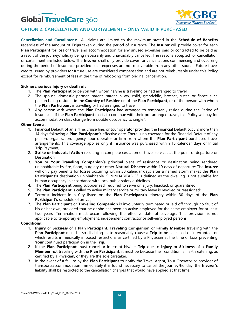

### **OPTION 2: CANCELLATION AND CURTAILMENT – ONLY VALID IF PURCHASED**

**Cancellation and Curtailment:** All claims are limited to the maximum stated in the **Schedule of Benefits** regardless of the amount of **Trips** taken during the period of insurance. The **Insurer** will provide cover for each **Plan Participant** for loss of travel and accommodation for any unused expenses paid or contracted to be paid as a result of the journey/holiday being necessarily and unavoidably cancelled. The reasons accepted for cancellation or curtailment are listed below. The **Insurer** shall only provide cover for cancellations commencing and occurring during the period of Insurance provided such expenses are not recoverable from any other source. Future travel credits issued by providers for future use are considered compensation and are not reimbursable under this Policy except for reimbursement of fees at the time of rebooking from original cancellation.

#### **Sickness, serious Injury or death of:**

- 1. The **Plan Participant** or person with whom he/she is travelling or had arranged to travel;
- 2. The spouse, domestic partner, parent, parent-in-law, child, grandchild, brother, sister, or fiancé such person being resident in the **Country of Residence**, of the **Plan Participant**, or of the person with whom the **Plan Participant** is travelling or had arranged to travel;
- 3. Any person with whom the **Plan Participant** had arranged to temporarily reside during the Period of Insurance. If the **Plan Participant** elects to continue with their pre-arranged travel, this Policy will pay for accommodation class change from double occupancy to single".

#### **Other Events:**

- 1. Financial Default of an airline, cruise line, or tour operator provided the Financial Default occurs more than 14 days following a **Plan Participant's** effective date. There is no coverage for the Financial Default of any person, organization, agency, tour operator or firm from whom the **Plan Participant** purchased travel arrangements. This coverage applies only if insurance was purchased within 15 calendar days of Initial **Trip** Payment;
- 2. **Strike or Industrial Action** resulting in complete cessation of travel services at the point of departure or Destination;
- 3. **You** or **Your Traveling Companion's** principal place of residence or destination being rendered uninhabitable by fire, flood, burglary or other **Natural Disaster** within 10 days of departure; The **Insurer** will only pay benefits for losses occurring within 30 calendar days after a named storm makes the **Plan Participant's** destination uninhabitable. "UNINHABITABLE" is defined as the dwelling is not suitable for human occupancy in accordance with local public safety guidelines.
- 4. The **Plan Participant** being subpoenaed, required to serve on a jury, hijacked, or quarantined;
- 5. The **Plan Participant** is called to active military service or military leave is revoked or reassigned;
- 6. Terrorist Incident in a City listed on the **Plan Participant's** itinerary within 30 days of the **Plan Participant's** schedule of arrival;
- 7. The **Plan Participant** or **Traveling Companion** is involuntarily terminated or laid off through no fault of his or her own, provided that he or she has been an active employee for the same employer for at least two years. Termination must occur following the effective date of coverage. This provision is not applicable to temporary employment, independent contractor or self-employed persons.

#### **Conditions**:

- 1. **Injury** or **Sickness** of a **Plan Participant**, **Traveling Companion** or **Family Member** traveling with the **Plan Participant** must be so disabling as to reasonably cause a **Trip** to be cancelled or interrupted, or which results in medically imposed restrictions as certified by a Physician at the time of Loss preventing **Your** continued participation in the **Trip**.
- 2. If the **Plan Participant** must cancel or interrupt his/her **Trip** due to **Injury** or **Sickness** of a **Family Member** not traveling with the **Plan Participant**, it must be because their condition is life-threatening, as certified by a Physician, or they are the sole caretaker.
- 3. In the event of a failure by the **Plan Participant** to notify the Travel Agent, Tour Operator or provider of transport/accommodation immediately it is found necessary to cancel the journey/holiday, the **Insurer's** liability shall be restricted to the cancellation charges that would have applied at that time.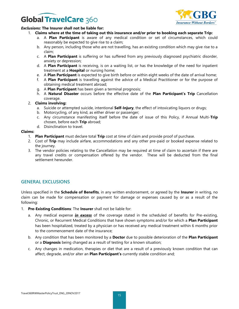

#### *Exclusions:* **The Insurer shall not be liable for:**

- 1. **Claims where at the time of taking out this insurance and/or prior to booking each separate Trip:**
	- a. A **Plan Participant** is aware of any medical condition or set of circumstances, which could reasonably be expected to give rise to a claim;
	- b. Any person, including those who are not travelling, has an existing condition which may give rise to a claim;
	- c. A **Plan Participant** is suffering or has suffered from any previously diagnosed psychiatric disorder, anxiety or depression;
	- d. A **Plan Participant** is receiving, is on a waiting list, or has the knowledge of the need for inpatient treatment at a **Hospital** or nursing home;
	- e. A **Plan Participant** is expected to give birth before or within eight weeks of the date of arrival home;
	- f. A **Plan Participant** is travelling against the advice of a Medical Practitioner or for the purpose of obtaining medical treatment abroad;
	- g. A **Plan Participant** has been given a terminal prognosis;
	- h. A **Natural Disaster** occurs before the effective date of the **Plan Participant's Trip** Cancellation coverage.

#### 2. **Claims involving:**

- a. Suicide or attempted suicide, intentional **Self-Injury**, the effect of intoxicating liquors or drugs;
- b. Motorcycling, of any kind, as either driver or passenger;
- c. Any circumstance manifesting itself before the date of issue of this Policy, if Annual Multi-**Trip** chosen, before each **Trip** abroad;
- d. Disinclination to travel.

#### **Claims:**

- 1. **Plan Participant** must declare total **Trip** cost at time of claim and provide proof of purchase.
- 2. Cost of **Trip** may include airfare, accommodations and any other pre-paid or booked expense related to the journey.
- 3. The vendor policies relating to the Cancellation may be required at time of claim to ascertain if there are any travel credits or compensation offered by the vendor. These will be deducted from the final settlement hereunder.

### **GENERAL EXCLUSIONS**

Unless specified in the **Schedule of Benefits**, in any written endorsement, or agreed by the **Insurer** in writing, no claim can be made for compensation or payment for damage or expenses caused by or as a result of the following:

- 1. **Pre-Existing Conditions**: The **Insurer** shall not be liable for:
	- a. Any medical expense *in excess* of the coverage stated in the scheduled of benefits for Pre-existing, Chronic, or Recurrent Medical Conditions that have shown symptoms and/or for which a **Plan Participant** has been hospitalized, treated by a physician or has received any medical treatment within 6 months prior to the commencement date of the insurance;
	- b. Any condition that has been monitored by a **Doctor** due to possible deterioration of the **Plan Participant** or a **Diagnosis** being changed as a result of testing for a known situation;
	- c. Any changes in medication, therapies or diet that are a result of a previously known condition that can affect, degrade, and/or alter an **Plan Participant's** currently stable condition and;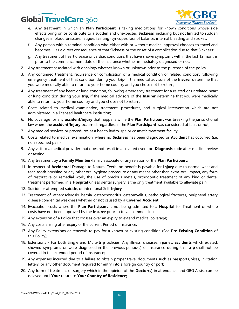

- e. Any treatment in which an **Plan Participant** is taking medications for known conditions whose side effects bring on or contribute to a sudden and unexpected **Sickness**, including but not limited to sudden changes in blood pressure, fatigue, fainting (syncope), loss of balance, internal bleeding and strokes;
- f. Any person with a terminal condition who either with or without medical approval chooses to travel and becomes ill as a direct consequence of that Sickness or the onset of a complication due to that Sickness;
- g. Any treatment of heart disease or cardiac conditions that have shown symptoms within the last 12 months prior to the commencement date of the insurance whether immediately diagnosed or not.
- 2. Any treatment associated with oncology whether known or unknown prior to the purchase of the policy.
- 3. Any continued treatment, recurrence or complication of a medical condition or related condition, following emergency treatment of that condition during your **trip**, if the medical advisors of the **Insurer** determine that you were medically able to return to your home country and you chose not to return;
- 4. Any treatment of any heart or lung condition, following emergency treatment for a related or unrelated heart or lung condition during your **trip**, if the medical advisors of the **Insurer** determine that you were medically able to return to your home country and you chose not to return;
- 5. Costs related to medical examination, treatment, procedures, and surgical intervention which are not administered in a licensed healthcare institution;
- 6. No coverage for any **accident**/**injury** that happens while the **Plan Participant** was breaking the jurisdictional law where the **accident**/**injury** occurred, regardless if the **Plan Participant** was considered at fault or not;
- 7. Any medical services or procedures at a health hydro-spa or cosmetic treatment facility;
- 8. Costs related to medical examination, where no **Sickness** has been diagnosed or **Accident** has occurred (i.e. non specified pain);
- 9. Any visit to a medical provider that does not result in a covered event or **Diagnosis** code after medical review or testing;
- 10. Any treatment by a **Family Member**/family associate or any relation of the **Plan Participant;**
- 11. In respect of **Accidental** Damage to Natural Teeth, no benefit is payable for **Injury** due to normal wear and tear, tooth brushing or any other oral hygiene procedure or any means other than extra-oral impact, any form of restorative or remedial work, the use of precious metals, orthodontic treatment of any kind or dental treatment performed in a **Hospital** unless dental surgery is the only treatment available to alleviate pain;
- 12. Suicide or attempted suicide, or intentional Self-**Injury**;
- 13. Treatment of, atherosclerosis, hernia, osteochondritis, osteomyelitis, pathological fractures, peripheral artery disease congenital weakness whether or not caused by a **Covered Accident**.
- 14. Evacuation costs where the **Plan Participant** is not being admitted to a **Hospital** for Treatment or where costs have not been approved by the **Insurer** prior to travel commencing;
- 15. Any extension of a Policy that crosses over an expiry to extend medical coverage;
- 16. Any costs arising after expiry of the current Period of Insurance;
- 17. Any Policy extensions or renewals to pay for a known or existing condition (See **Pre-Existing Condition** of this Policy);
- 18. Extensions For both Single and Multi-**trip** policies: Any illness, diseases, injuries, **accidents** which existed, showed symptoms or were diagnosed in the previous period(s) of Insurance during this **trip** shall not be covered in the extended period of Insurance;
- 19. Any expenses incurred due to a failure to obtain proper travel documents such as passports, visas, invitation letters, or any other document required for entry into a foreign country or port;
- 20. Any form of treatment or surgery which in the opinion of the **Doctor(s)** in attendance and GBG Assist can be delayed until **Your** return to **Your Country of Residence;**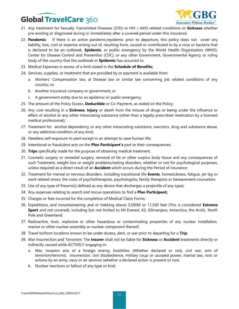

- 21. Any treatment for Sexually Transmitted Diseases (STD) or HIV / AIDS related conditions or **Sickness** whether pre-existing or diagnosed during or immediately after a covered period under this insurance;
- 22. **Pandemic**: If there is an active pandemic/epidemic prior to departure, this policy does not cover any liability, loss, cost or expense arising out of, resulting from, caused or contributed to by a virus or bacteria that is declared to be an outbreak, **Epidemic**, or public emergency by the World Health Organization (WHO), Center for Disease Control and Prevention (CDC), or any other Government, Governmental Agency or ruling body of the country that the outbreak or **Epidemic** has occurred in;
- 23. Medical Expenses in excess of a limit stated in the **Schedule of Benefits;**
- 24. Services, supplies, or treatment that are provided by or payment is available from:
	- a. Workers' Compensation law, al Disease law or similar law concerning job related conditions of any country; or;
	- b. Another insurance company or government; or
	- c. A government entity due to an epidemic or public emergency.
- 25. The amount of the Policy Excess, **Deductible** or Co-Payment, as stated on the Policy;
- 26. Any cost resulting in a **Sickness**, **Injury** or death from the misuse of drugs or being under the influence or effect of alcohol or any other intoxicating substance (other than a legally prescribed medication by a licensed medical professional);
- 27. Treatment for alcohol dependency or any other intoxicating substance, narcotics, drug and substance abuse, or any addictive condition of any kind;
- 28. Needless self-exposure to peril except in an attempt to save human life;
- 29. Intentional or fraudulent acts on the **Plan Participant's** part or their consequences;
- 30. **Trips** specifically made for the purpose of obtaining medical treatment;
- 31. Cosmetic surgery or remedial surgery, removal of fat or other surplus body tissue and any consequences of such Treatment, weight loss or weight problems/eating disorders, whether or not for psychological purposes, unless required as a direct result of an **Accident** which occurs during the Period of Insurance;
- 32. Treatment for mental or nervous disorders, including transitional life **Events**, homesickness, fatigue, jet-lag or work related stress; the costs of psychotherapists, psychologists, family therapists or bereavement counselors.
- 33. Use of any type of firearm(s) defined as any device that discharges a projectile of any type);
- 34. Any expenses relating to *search and rescue* operations to find a **Plan Participant;**
- 35. Charges or fees incurred for the completion of Medical Claim Forms;
- 36. Expeditions, and mountaineering and or trekking above 3,500M or 11,500 feet (This is considered **Extreme Sport** and not covered), including but not limited to Mt Everest, K2, Kilimanjaro, Antarctica, the Arctic, North Pole and Greenland;
- 37. Radioactive, toxic, explosive or other hazardous or contaminating properties of any nuclear installation, reactor or other nuclear assembly or nuclear component thereof;
- 38. Travel to/from locations known to be under duress, alert, or war prior to departing for a **Trip**;
- 39. War Insurrection and Terrorism: The **Insurer** shall not be liable for **Sickness** or **Accident** treatments directly or indirectly caused while ACTIVELY engaging in:
	- a. War, invasion acts of a foreign enemy, hostilities (Whether declared or not), civil war, acts of terrorism/terrorist, insurrection, civil disobedience, military coup or usurped power, martial law, riots or actions by an army, navy or air services (whether a declared action is present or not).
	- b. Nuclear reactions or fallout of any type or kind.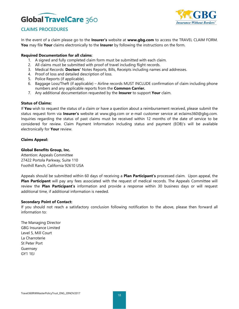

### **CLAIMS PROCEDURES**

In the event of a claim please go to the **Insurer's** website at **www.gbg.com** to access the TRAVEL CLAIM FORM. **You** may file **Your** claims electronically to the **Insurer** by following the instructions on the form.

#### **Required Documentation for all claims**:

- 1. A signed and fully completed claim form must be submitted with each claim.
- 2. All claims must be submitted with proof of travel including flight records.
- 3. Medical Records: **Doctors'** Notes Reports, Bills, Receipts including names and addresses.
- 4. Proof of loss and detailed description of loss.
- 5. Police Reports (if applicable).
- 6. Baggage Loss/Theft (if applicable) Airline records MUST INCLUDE confirmation of claim including phone numbers and any applicable reports from the **Common Carrier.**
- 7. Any additional documentation requested by the **Insurer** to support **Your** claim.

#### **Status of Claims:**

If **You** wish to request the status of a claim or have a question about a reimbursement received, please submit the status request form via **Insurer's** website at www.gbg.com or e-mail customer service at eclaims360@gbg.com. Inquiries regarding the status of past claims must be received within 12 months of the date of service to be considered for review. Claim Payment Information including status and payment (EOB)'s will be available electronically for **Your** review.

#### **Claims Appeal:**

#### **Global Benefits Group, Inc.**

Attention: Appeals Committee 27422 Portola Parkway, Suite 110 Foothill Ranch, California 92610 USA

Appeals should be submitted within 60 days of receiving a **Plan Participant's** processed claim. Upon appeal, the **Plan Participant** will pay any fees associated with the request of medical records. The Appeals Committee will review the **Plan Participant's** information and provide a response within 30 business days or will request additional time, if additional information is needed.

#### **Secondary Point of Contact:**

If you should not reach a satisfactory conclusion following notification to the above, please then forward all information to:

The Managing Director GBG Insurance Limited Level 5, Mill Court La Charroterie St Peter Port Guernsey GY1 1EJ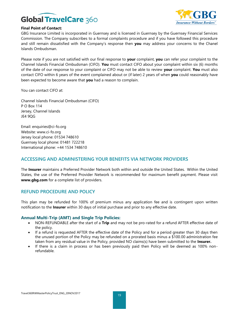

#### **Final Point of Contact:**

GBG Insurance Limited is incorporated in Guernsey and is licensed in Guernsey by the Guernsey Financial Services Commission. The Company subscribes to a formal complaints procedure and if you have followed this procedure and still remain dissatisfied with the Company's response then **you** may address your concerns to the Chanel Islands Ombudsman.

Please note if you are not satisfied with our final response to **your** complaint, **you** can refer your complaint to the Channel Islands Financial Ombudsman (CIFO). **You** must contact CIFO about your complaint within six (6) months of the date of our response to your complaint or CIFO may not be able to review **your** complaint. **You** must also contact CIFO within 6 years of the event complained about or (if later) 2 years of when **you** could reasonably have been expected to become aware that **you** had a reason to complain.

You can contact CIFO at:

Channel Islands Financial Ombudsman (CIFO) P O Box 114 Jersey, Channel Islands JE4 9QG

Email: enquiries@ci-fo.org Website: www.ci-fo.org Jersey local phone: 01534 748610 Guernsey local phone: 01481 722218 International phone: +44 1534 748610

### **ACCESSING AND ADMINISTERING YOUR BENEFITS VIA NETWORK PROVIDERS**

The **Insurer** maintains a Preferred Provider Network both within and outside the United States. Within the United States, the use of the Preferred Provider Network is recommended for maximum benefit payment. Please visit **www.gbg.com** for a complete list of providers.

### **REFUND PROCEDURE AND POLICY**

This plan may be refunded for 100% of premium minus any application fee and is contingent upon written notification to the **Insurer** within 30 days of initial purchase and prior to any effective date.

### **Annual Multi-Trip (AMT) and Single Trip Policies:**

- NON-REFUNDABLE after the start of a **Trip** and may not be pro-rated for a refund AFTER effective date of the policy.
- If a refund is requested AFTER the effective date of the Policy and for a period greater than 30 days then the unused portion of the Policy may be refunded on a prorated basis minus a \$100.00 administration fee taken from any residual value in the Policy, provided NO claims(s) have been submitted to the **Insurer.**
- If there is a claim in process or has been previously paid then Policy will be deemed as 100% nonrefundable.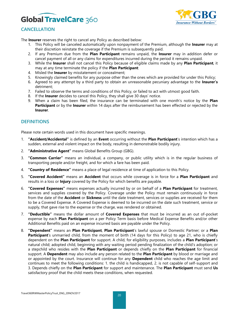

### **CANCELLATION**

The **Insurer** reserves the right to cancel any Policy as described below:

- 1. This Policy will be canceled automatically upon nonpayment of the Premium, although the **Insurer** may at their discretion reinstate the coverage if the Premium is subsequently paid.
- 2. If any Premium due from the **Plan Participant** remains unpaid, the **Insurer** may in addition defer or cancel payment of all or any claims for expenditures incurred during the period it remains unpaid.
- 3. While the **Insurer** shall not cancel this Policy because of eligible claims made by any **Plan Participant**, it may at any time terminate the policy if the **Plan Participant**:
- 4. Misled the **Insurer** by misstatement or concealment;
- 5. Knowingly claimed benefits for any purpose other than the ones which are provided for under this Policy;
- 6. Agreed to any attempt by a third party to obtain an unreasonable pecuniary advantage to the **Insurer's** detriment;
- 7. Failed to observe the terms and conditions of this Policy, or failed to act with utmost good faith.
- 8. If the **Insurer** decides to cancel this Policy, they shall give 30 days' notice.
- 9. When a claim has been filed, the insurance can be terminated with one month's notice by the **Plan Participant** or by the **Insurer** within 14 days after the reimbursement has been effected or rejected by the **Insurer**.

### **DEFINITIONS**

Please note certain words used in this document have specific meanings.

- 1. **"Accident/Accidental"** is defined by an **Event** occurring without the **Plan Participant**'s intention which has a sudden, external and violent impact on the body, resulting in demonstrable bodily injury.
- 2. **"Administrative Agent"** means Global Benefits Group (GBG).
- 3. **"Common Carrier"** means an individual, a company, or public utility which is in the regular business of transporting people and/or freight, and for which a fare has been paid.
- 4. **"Country of Residence"** means a place of legal residence at time of application to this Policy.
- 5. **"Covered Accident"** means an **Accident** that occurs while coverage is in force for a **Plan Participant** and results in a loss or **Injury** covered by the Policy for which benefits are payable.
- 6. **"Covered Expenses"** means expenses actually incurred by or on behalf of a **Plan Participant** for treatment, services and supplies covered by the Policy. Coverage under the Policy must remain continuously in force from the date of the **Accident** or **Sickness** until the date treatment, services or supplies are received for them to be a Covered Expense. A Covered Expense is deemed to be incurred on the date such treatment, service or supply, that gave rise to the expense or the charge, was rendered or obtained.
- 7. **"Deductible"** means the dollar amount of **Covered Expenses** that must be incurred as an out of-pocket expense by each **Plan Participant** on a per Policy Term basis before Medical Expense Benefits and/or other Additional Benefits paid on an expense incurred basis are payable under the Policy.
- 8. **"Dependent"** means an **Plan Participant**, **Plan Participant**'s lawful spouse or Domestic Partner; or a **Plan Participant**'s unmarried child, from the moment of birth (14 days for this Policy) to age 21, who is chiefly dependent on the **Plan Participant** for support. A child, for eligibility purposes, includes a **Plan Participant**'s natural child; adopted child, beginning with any waiting period pending finalization of the child's adoption; or a stepchild who resides with the **Plan Participant** or depends chiefly on the **Plan Participant** for financial support. A **Dependent** may also include any person related to the **Plan Participant** by blood or marriage and or appointed by the court. Insurance will continue for any **Dependent** child who reaches the age limit and continues to meet the following conditions: 1. the child is handicapped, 2. is not capable of self-support and 3. Depends chiefly on the **Plan Participant** for support and maintenance. The **Plan Participant** must send **Us** satisfactory proof that the child meets these conditions, when requested.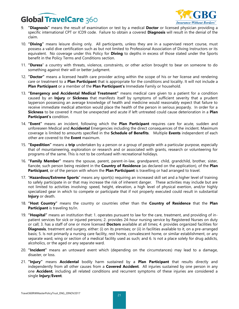

- 9. **"Diagnosis"** means the result of examination or test by a medical **Doctor** or licensed physician providing a specific international CPT or ICD9 code. Failure to obtain a covered **Diagnosis** will result in the denial of the claim.
- 10. **"Diving"** means leisure diving only. All participants, unless they are in a supervised resort course, must possess a valid dive certification such as but not limited to Professional Association of Diving Instructors or its equivalent. No coverage under this Policy for **Diving** to depths in excess of those stated under the Sports benefit in the Policy Terms and Conditions section.
- 11. **"Duress**" a country with threats, violence, constraints, or other action brought to bear on someone to do something against their will or better judgment.
- 12. **"Doctor"** means a licensed health care provider acting within the scope of his or her license and rendering care or treatment to a **Plan Participant** that is appropriate for the conditions and locality. It will not include a **Plan Participant** or a member of the **Plan Participant's** Immediate Family or household.
- 13. **"Emergency and Accidental Medical Treatment"** means medical care given to a patient for a condition caused by an **Injury** or **Sickness** that manifests itself by symptoms of sufficient severity that a prudent layperson possessing an average knowledge of health and medicine would reasonably expect that failure to receive immediate medical attention would place the health of the person in serious jeopardy. In order for a **Sickness** to be covered it must be unexpected and acute if left untreated could cause deterioration in a **Plan Participant's** condition.
- 14. **"Event"** means an incident, following which the **Plan Participant** requires care for acute, sudden and unforeseen Medical and **Accidental** Emergencies including the direct consequences of the incident. Maximum coverage is limited to amounts specified in the **Schedule of Benefits**. Multiple **Events** independent of each other are covered to the **Event** maximum.
- 15. **"Expedition"** means a **trip** undertaken by a person or a group of people with a particular purpose, especially that of mountaineering, exploration or research and or associated with grants, research or volunteering for programs of the same. This is not to be confused with recreational holidays.
- 16. **"Family Member"** means the spouse, parent, parent-in-law, grandparent, child, grandchild, brother, sister, fiancée, such person being resident in the **Country of Residence** (as declared on the application), of the **Plan Participant**, or of the person with whom the **Plan Participant** is travelling or had arranged to travel.
- 17. "**Hazardous/Extreme Sports**" means any sport(s) requiring an increased skill set and a higher level of training to safely participate in or that may increase the risk of inherent danger. These activities may include but are not limited to activities involving: speed, height, elevation, a high level of physical exertion, and/or highly specialized gear in which to compete or participate that if not properly executed could result in substantial **Injury** or death.
- 18. **"Host Country"** means the country or countries other than the **Country of Residence** that the **Plan Participant** is traveling to/in.
- 19. **"Hospital"** means an institution that: 1. operates pursuant to law for the care, treatment, and providing of inpatient services for sick or injured persons; 2. provides 24-hour nursing service by Registered Nurses on duty or call; 3. has a staff of one or more licensed **Doctors** available at all times; 4. provides organized facilities for **Diagnosis**, treatment and surgery, either: (i) on its premises; or (ii) in facilities available to it, on a pre-arranged basis; 5. Is not primarily a nursing care facility, rest home, convalescent home, or similar establishment, or any separate ward, wing or section of a medical facility used as such; and 6. Is not a place solely for drug addicts, alcoholics, or the aged or any separate ward.
- 20. **"Incident"** means an untoward [event](http://www.businessdictionary.com/definition/event.html) which (depending on the circumstances) may lead to a [damage,](http://www.businessdictionary.com/definition/damage.html) [disaster,](http://www.businessdictionary.com/definition/disaster.html) or loss.
- 21. **"Injury"** means **Accidental** bodily harm sustained by a **Plan Participant** that results directly and independently from all other causes from a **Covered Accident**. All injuries sustained by one person in any one **Accident**, including all related conditions and recurrent symptoms of these injuries are considered a single **Injury**/**Event**.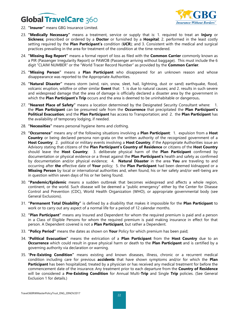

- 22. **"Insurer"** means GBG Insurance Limited.
- 23. **"Medically Necessary"** means a treatment, service or supply that is: 1. required to treat an **Injury** or **Sickness**; prescribed or ordered by a **Doctor** or furnished by a **Hospital**; 2. performed in the least costly setting required by the **Plan Participant's** condition (**UCR**); and 3. Consistent with the medical and surgical practices prevailing in the area for treatment of the condition at the time rendered.
- 24. **"Missing Bag Report"** means a formal report of loss as filed with the **Common Carrier** commonly known as a PIR (Passenger Irregularity Report) or PAWOB (Passenger arriving without baggage). This must include the 6 digit "CLAIM NUMBER" or the "World Tracer Record Number" as provided by the **Common Carrier**.
- 25. **"Missing Person"** means a **Plan Participant** who disappeared for an unknown reason and whose disappearance was reported to the Appropriate Authorities.
- 26. **"Natural Disaster"** means storm (wind, rain, snow, sleet, hail, lightning, dust or sand) earthquake, flood, volcanic eruption, wildfire or other similar **Event** that: 1. is due to natural causes; and 2. results in such severe and widespread damage that the area of damage is officially declared a disaster area by the government in which the **Plan Participant's Trip** occurs and the area is deemed to be uninhabitable or dangerous**.**
- 27. **"Nearest Place of Safety"** means a location determined by the Designated Security Consultant where: 1. the **Plan Participant** can be presumed safe from the **Occurrence** that precipitated the **Plan Participant's Political Evacuation**; and the **Plan Participant** has access to Transportation; and 2. the **Plan Participant** has the availability of temporary lodging, if needed.
- 28. **"Necessities"** means personal hygiene items and clothing.
- 29. **"Occurrence"** means any of the following situations involving a **Plan Participant**: 1. expulsion from a **Host Country** or being declared persona non-grata on the written authority of the recognized government of a **Host Country**; 2. political or military events involving a **Host Country**, if the Appropriate Authorities issue an Advisory stating that citizens of the **Plan Participant's Country of Residence** or citizens of the **Host Country** should leave the **Host Country**; 3. deliberate physical harm of the **Plan Participant** confirmed by documentation or physical evidence or a threat against the **Plan Participant's** health and safety as confirmed by documentation and/or physical evidence; 4. **Natural Disaster** in the area **You** are traveling to and occurring after **the** effective date of **Your** policy; 5. the **Plan Participant** had been deemed kidnapped or a **Missing Person** by local or international authorities and, when found, his or her safety and/or well-being are in question within seven days of his or her being found.
- 30. **"Pandemic/Epidemic** means a sudden outbreak that becomes widespread and affects a whole region, continent, or the world. Such disease will be deemed a "public emergency" either by the Center for Disease Control and Prevention (CDC), World Health Organization (WHO), or appropriate governmental body (see General Exclusions).
- 31. **"Permanent Total Disability"** is defined by a disability that makes it impossible for the **Plan Participant** to work or to carry out any aspect of a normal life for a period of 12 calendar months.
- 32. **"Plan Participant"** means any Insured and Dependent for whom the required premium is paid and a person in a Class of Eligible Persons for whom the required premium is paid making insurance in effect for that person. A Dependent covered is not a **Plan Participant**, but rather a Dependent.
- 33. **"Policy Period"** means the dates as shown on **Your** Policy for which premium has been paid;
- 34. "**Political Evacuation"** means the extrication of a **Plan Participant** from the **Host Country** due to an **Occurrence** which could result in grave physical harm or death to the **Plan Participant** and is certified by a governing authority via declaration or warning.
- 35. "**Pre-Existing Condition"** means existing and known diseases, illness, chronic or a recurrent medical condition including care for previous **accidents** that have shown symptoms and/or for which the **Plan Participant** has been hospitalized, treated by a physician or has received any medical treatment for before the commencement date of the insurance. Any treatment prior to each departure from the **Country of Residence** will be considered a **Pre-Existing Condition** for Annual Multi-**Trip** and Single **Trip** policies. (See General Exclusion 1 for details.)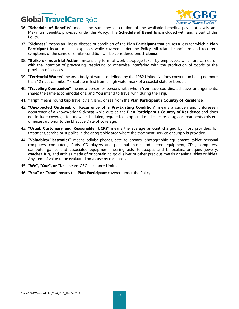

- 36. **"Schedule of Benefits"** means the summary description of the available benefits, payment levels and Maximum Benefits, provided under this Policy. The **Schedule of Benefits** is included with and is part of this Policy.
- 37. **"Sickness"** means an illness, disease or condition of the **Plan Participant** that causes a loss for which a **Plan Participant** incurs medical expenses while covered under the Policy. All related conditions and recurrent symptoms of the same or similar condition will be considered one **Sickness**.
- 38. **"Strike or Industrial Action"** means any form of work stoppage taken by employees, which are carried on with the intention of preventing, restricting or otherwise interfering with the production of goods or the provision of services.
- 39. "**Territorial Waters**" means a body of water as defined by the 1982 United Nations convention being no more than 12 nautical miles (14 statute miles) from a high water mark of a coastal state or border.
- 40. "**Traveling Companion"** means a person or persons with whom **You** have coordinated travel arrangements, shares the same accommodations, and **You** intend to travel with during the **Trip**.
- 41. **"Trip"** means round **trip** travel by air, land, or sea from the **Plan Participant's Country of Residence**.
- 42. **"Unexpected Outbreak or Recurrence of a Pre-Existing Condition"** means a sudden and unforeseen occurrence of a known/prior **Sickness** while outside the **Plan Participant's Country of Residence** and does not include coverage for known, scheduled, required, or expected medical care, drugs or treatments existent or necessary prior to the Effective Date of coverage.
- 43. **"Usual, Customary and Reasonable (UCR)"** means the average amount charged by most providers for treatment, service or supplies in the geographic area where the treatment, service or supply is provided.
- 44. **"Valuables/Electronics"** means cellular phones, satellite phones, photographic equipment, tablet personal computers, computers, iPods, CD players and personal music and stereo equipment, CD's, computers, computer games and associated equipment, hearing aids, telescopes and binoculars, antiques, jewelry, watches, furs, and articles made of or containing gold, silver or other precious metals or animal skins or hides. Any item of value to be evaluated on a case by case basis.
- 45. **"We", "Our", or "Us"** means GBG Insurance Limited.
- 46. **"You" or "Your"** means the **Plan Participant** covered under the Policy**.**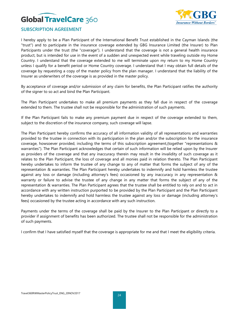

### **SUBSCRIPTION AGREEMENT**

I hereby apply to be a Plan Participant of the International Benefit Trust established in the Cayman Islands (the "trust") and to participate in the insurance coverage extended by GBG Insurance Limited (the Insurer) to Plan Participants under the trust (the "coverage"). I understand that the coverage is not a general health insurance product, but is intended for use in the event of a sudden and unexpected event while traveling outside my Home Country. I understand that the coverage extended to me will terminate upon my return to my Home Country unless I qualify for a benefit period or Home Country coverage. I understand that I may obtain full details of the coverage by requesting a copy of the master policy from the plan manager. I understand that the liability of the Insurer as underwriters of the coverage is as provided in the master policy.

By acceptance of coverage and/or submission of any claim for benefits, the Plan Participant ratifies the authority of the signer to so act and bind the Plan Participant.

The Plan Participant undertakes to make all premium payments as they fall due in respect of the coverage extended to them. The trustee shall not be responsible for the administration of such payments.

If the Plan Participant fails to make any premium payment due in respect of the coverage extended to them, subject to the discretion of the insurance company, such coverage will lapse.

The Plan Participant hereby confirms the accuracy of all information validity of all representations and warranties provided to the trustee in connection with its participation in the plan and/or the subscription for the insurance coverage, howsoever provided, including the terms of this subscription agreement,(together "representations & warranties"). The Plan Participant acknowledges that certain of such information will be relied upon by the Insurer as providers of the coverage and that any inaccuracy therein may result in the invalidity of such coverage as it relates to the Plan Participant, the loss of coverage and all monies paid in relation thereto. The Plan Participant hereby undertakes to inform the trustee of any change to any of matter that forms the subject of any of the representation & warranties. The Plan Participant hereby undertakes to indemnify and hold harmless the trustee against any loss or damage (including attorney's fees) occasioned by any inaccuracy in any representation & warranty or failure to advise the trustee of any change in any matter that forms the subject of any of the representation & warranties. The Plan Participant agrees that the trustee shall be entitled to rely on and to act in accordance with any written instruction purported to be provided by the Plan Participant and the Plan Participant hereby undertakes to indemnify and hold harmless the trustee against any loss or damage (including attorney's fees} occasioned by the trustee acting in accordance with any such instruction.

Payments under the terms of the coverage shall be paid by the Insurer to the Plan Participant or directly to a provider if assignment of benefits has been authorized. The trustee shall not be responsible for the administration of such payments.

I confirm that I have satisfied myself that the coverage is appropriate for me and that I meet the eligibility criteria.